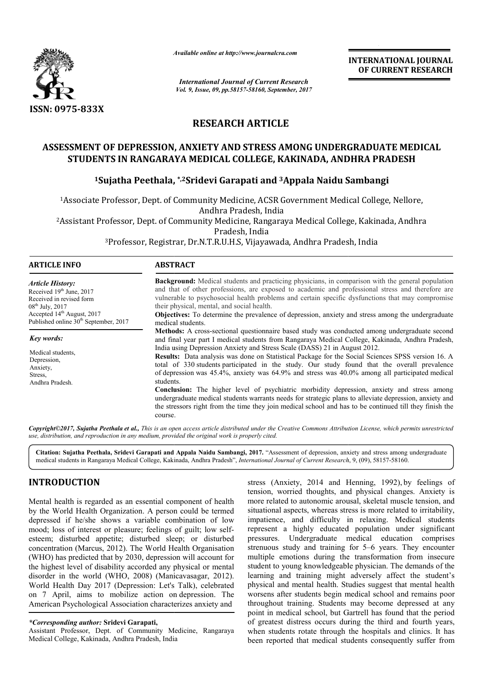

*Available online at http://www.journal http://www.journalcra.com*

*International Journal of Current Research Vol. 9, Issue, 09, pp.58157-58160, September, 2017* **INTERNATIONAL JOURNAL OF CURRENT RESEARCH** 

# **RESEARCH ARTICLE**

## **ASSESSMENT OF DEPRESSION, ANXIETY AND STRESS AMONG UNDERGRADUATE MEDICAL STUDENTS IN RANGARAYA MEDICAL COLLEGE, KAKINADA, ANDHRA PRADESH ASSESSMENT UNDERGRADUATE MEDICAL STUDENTS IN RANGARAYA PRADESH**

## **1Sujatha Peethala, Sujatha \*,2Sridevi Garapati and 3Appala Naidu Sambangi Appala Naidu Sambangi**

1Associate Professor, Dept. of Community Medicine, ACSR Government Medical College, Nellore, Associate Andhra Pradesh, India Associate Professor, Dept. of Community Medicine, ACSR Government<br>Andhra Pradesh, India<br>Issistant Professor, Dept. of Community Medicine, Rangaraya Medical

2Assistant Professor, Dept. of Community Medicine, Rangaraya Medical College, Kakinada, Andhra Assistant Pradesh, India

<sup>3</sup>Professor, Registrar, Dr.N.T.R.U.H.S, Vijayawada, Andhra Pradesh, India

| <b>ARTICLE INFO</b>                                                                                                                                        | <b>ABSTRACT</b>                                                                                                                                                                                                                                                                                                                                                                                                                                                            |  |  |
|------------------------------------------------------------------------------------------------------------------------------------------------------------|----------------------------------------------------------------------------------------------------------------------------------------------------------------------------------------------------------------------------------------------------------------------------------------------------------------------------------------------------------------------------------------------------------------------------------------------------------------------------|--|--|
| <b>Article History:</b><br>Received $19th$ June, 2017<br>Received in revised form<br>$08^{\text{th}}$ July, 2017<br>Accepted 14 <sup>th</sup> August, 2017 | <b>Background:</b> Medical students and practicing physicians, in comparison with the general population<br>and that of other professions, are exposed to academic and professional stress and therefore are<br>vulnerable to psychosocial health problems and certain specific dysfunctions that may compromise<br>their physical, mental, and social health.<br><b>Objectives:</b> To determine the prevalence of depression, anxiety and stress among the undergraduate |  |  |
| Published online 30 <sup>th</sup> September, 2017                                                                                                          | medical students.                                                                                                                                                                                                                                                                                                                                                                                                                                                          |  |  |
| Key words:                                                                                                                                                 | <b>Methods:</b> A cross-sectional questionnaire based study was conducted among undergraduate second<br>and final year part I medical students from Rangaraya Medical College, Kakinada, Andhra Pradesh,                                                                                                                                                                                                                                                                   |  |  |
| Medical students.<br>Depression,<br>Anxiety,<br>Stress,<br>Andhra Pradesh.                                                                                 | India using Depression Anxiety and Stress Scale (DASS) 21 in August 2012.<br><b>Results:</b> Data analysis was done on Statistical Package for the Social Sciences SPSS version 16. A<br>total of 330 students participated in the study. Our study found that the overall prevalence<br>of depression was 45.4%, anxiety was 64.9% and stress was 40.0% among all participated medical<br>students.                                                                       |  |  |
|                                                                                                                                                            | <b>Conclusion:</b> The higher level of psychiatric morbidity depression, anxiety and stress among<br>undergraduate medical students warrants needs for strategic plans to alleviate depression, anxiety and<br>the stressors right from the time they join medical school and has to be continued till they finish the<br>course.                                                                                                                                          |  |  |

*Copyright©2017, Sujatha Peethala et al., This is an open access article distributed under the Creative Commons Att Attribution License, which ribution permits unrestricted use, distribution, and reproduction in any medium, provided the original work is properly cited.*

Citation: Sujatha Peethala, Sridevi Garapati and Appala Naidu Sambangi, 2017. "Assessment of depression, anxiety and stress among undergraduate Citation: Sujatha Peethala, Sridevi Garapati and Appala Naidu Sambangi, 2017. "Assessment of depression, anxiety and stress among<br>medical students in Rangaraya Medical College, Kakinada, Andhra Pradesh", *International Jou* 

# **INTRODUCTION**

Mental health is regarded as an essential component of health by the World Health Organization. A person could be termed depressed if he/she shows a variable combination of low mood; loss of interest or pleasure; feelings of guilt; low selfesteem; disturbed appetite; disturbed sleep; or disturbed concentration (Marcus, 2012). The World Health Organisation (WHO) has predicted that by 2030, depression will account for the highest level of disability accorded any physical or mental disorder in the world (WHO, 2008) (Manicavasagar, 2012). World Health Day 2017 (Depression: Let's Talk), celebrated on 7 April, aims to mobilize action on depression. The American Psychological Association characterizes anxiety and steem; disturbed appetite; disturbed sleep; or disturbed<br>oncentration (Marcus, 2012). The World Health Organisation<br>WHO) has predicted that by 2030, depression will account for<br>he highest level of disability accorded any p

#### *\*Corresponding author:* **Sridevi Garapati,**

Assistant Professor, Dept. of Community Medicine, Rangaraya Medical College, Kakinada, Andhra Pradesh, India

TION<br>
is regarded as an essential component of health<br>
invertients on, worried thoughts, and physical<br>
Health Organization. A person could be termed<br>
inverted to autonomic arousal, ske<br>
election of low<br>
impatience, and dif tension, worried thoughts, and physical changes. Anxiety is more related to autonomic arousal, skeletal muscle tension, and situational aspects, whereas stress is more related to irritability, impatience, and difficulty in relaxing. Medical students represent a highly educated population under significant pressures. Undergraduate medical education comprises represent a highly educated population under significant pressures. Undergraduate medical education comprises strenuous study and training for 5–6 years. They encounter multiple emotions during the transformation from insecure multiple emotions during the transformation from insecure student to young knowledgeable physician. The demands of the learning and training might adversely affect the student's physical and mental health. Studies suggest that mental health worsens after students begin medical school and remains poor throughout training. Students may become depressed at any point in medical school, but Gartrell has found that the period of greatest distress occurs during the third and fourth years, when students rotate through the hospitals and clinics. It has of greatest distress occurs during the third and fourth years, when students rotate through the hospitals and clinics. It has been reported that medical students consequently suffer from stress (Anxiety, 2014 and Henning, 1992), by feelings of ried thoughts, and physical changes. Anxiety is<br>to autonomic arousal, skeletal muscle tension, and<br>pects, whereas stress is more related to irritability,<br>and difficulty in relaxing. Medical students might adversely affect the student's<br>alth. Studies suggest that mental health<br>begin medical school and remains poor<br>udents may become depressed at any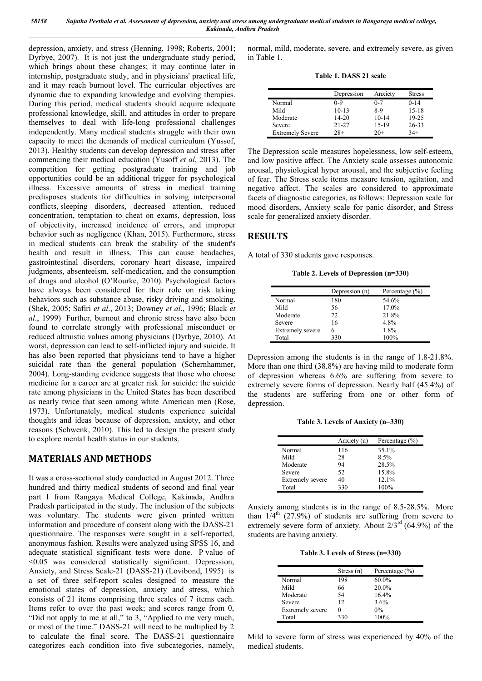depression, anxiety, and stress (Henning, 1998; Roberts, 2001; Dyrbye, 2007). It is not just the undergraduate study period, which brings about these changes; it may continue later in internship, postgraduate study, and in physicians' practical life, and it may reach burnout level. The curricular objectives are dynamic due to expanding knowledge and evolving therapies. During this period, medical students should acquire adequate professional knowledge, skill, and attitudes in order to prepare themselves to deal with life-long professional challenges independently. Many medical students struggle with their own capacity to meet the demands of medical curriculum (Yussof, 2013). Healthy students can develop depression and stress after commencing their medical education (Yusoff *et al*, 2013). The competition for getting postgraduate training and job opportunities could be an additional trigger for psychological illness. Excessive amounts of stress in medical training predisposes students for difficulties in solving interpersonal conflicts, sleeping disorders, decreased attention, reduced concentration, temptation to cheat on exams, depression, loss of objectivity, increased incidence of errors, and improper behavior such as negligence (Khan, 2015). Furthermore, stress in medical students can break the stability of the student's health and result in illness. This can cause headaches, gastrointestinal disorders, coronary heart disease, impaired judgments, absenteeism, self-medication, and the consumption of drugs and alcohol (O'Rourke, 2010). Psychological factors have always been considered for their role on risk taking behaviors such as substance abuse, risky driving and smoking. (Shek, 2005; Safiri *et al*., 2013; Downey *et al*., 1996; Black *et al*., 1999) Further, burnout and chronic stress have also been found to correlate strongly with professional misconduct or reduced altruistic values among physicians (Dyrbye, 2010). At worst, depression can lead to self-inflicted injury and suicide. It has also been reported that physicians tend to have a higher suicidal rate than the general population (Schernhammer, 2004). Long-standing evidence suggests that those who choose medicine for a career are at greater risk for suicide: the suicide rate among physicians in the United States has been described as nearly twice that seen among white American men (Rose, 1973). Unfortunately, medical students experience suicidal thoughts and ideas because of depression, anxiety, and other reasons (Schwenk, 2010). This led to design the present study to explore mental health status in our students.

### **MATERIALS AND METHODS**

It was a cross-sectional study conducted in August 2012. Three hundred and thirty medical students of second and final year part I from Rangaya Medical College, Kakinada, Andhra Pradesh participated in the study. The inclusion of the subjects was voluntary. The students were given printed written information and procedure of consent along with the DASS-21 questionnaire. The responses were sought in a self-reported, anonymous fashion. Results were analyzed using SPSS 16, and adequate statistical significant tests were done. P value of  $\leq 0.05$  was considered statistically significant. Depression, Anxiety, and Stress Scale-21 (DASS-21) (Lovibond, 1995) is a set of three self-report scales designed to measure the emotional states of depression, anxiety and stress, which consists of 21 items comprising three scales of 7 items each. Items refer to over the past week; and scores range from 0, "Did not apply to me at all," to 3, "Applied to me very much, or most of the time." DASS-21 will need to be multiplied by 2 to calculate the final score. The DASS-21 questionnaire categorizes each condition into five subcategories, namely, normal, mild, moderate, severe, and extremely severe, as given in Table 1.

**Table 1. DASS 21 scale**

|                         | Depression | Anxiety   | <b>Stress</b> |
|-------------------------|------------|-----------|---------------|
| Normal                  | 0-9        | $0 - 7$   | $0 - 14$      |
| Mild                    | $10-13$    | 8-9       | $15 - 18$     |
| Moderate                | $14 - 20$  | $10 - 14$ | 19-25         |
| Severe                  | $21 - 27$  | $15-19$   | $26 - 33$     |
| <b>Extremely Severe</b> | $28+$      | 20+       | $34+$         |

The Depression scale measures hopelessness, low self-esteem, and low positive affect. The Anxiety scale assesses autonomic arousal, physiological hyper arousal, and the subjective feeling of fear. The Stress scale items measure tension, agitation, and negative affect. The scales are considered to approximate facets of diagnostic categories, as follows: Depression scale for mood disorders, Anxiety scale for panic disorder, and Stress scale for generalized anxiety disorder.

## **RESULTS**

A total of 330 students gave responses.

**Table 2. Levels of Depression (n=330)**

|                         | Depression (n) | Percentage $(\% )$ |
|-------------------------|----------------|--------------------|
| Normal                  | 180            | 54.6%              |
| Mild                    | 56             | 17.0%              |
| Moderate                | 72             | 21.8%              |
| Severe                  | 16             | 4.8%               |
| <b>Extremely severe</b> | 6              | 1.8%               |
| Total                   | 330            | 100%               |

Depression among the students is in the range of 1.8-21.8%. More than one third (38.8%) are having mild to moderate form of depression whereas 6.6% are suffering from severe to extremely severe forms of depression. Nearly half (45.4%) of the students are suffering from one or other form of depression.

**Table 3. Levels of Anxiety (n=330)**

|                         | Anxiety (n) | Percentage $(\% )$ |
|-------------------------|-------------|--------------------|
| Normal                  | 116         | 35.1%              |
| Mild                    | 28          | 8.5%               |
| Moderate                | 94          | 28.5%              |
| Severe                  | 52          | 15.8%              |
| <b>Extremely severe</b> | 40          | 12.1%              |
| Total                   | 330         | 100%               |

Anxiety among students is in the range of 8.5-28.5%. More than  $1/4$ <sup>th</sup> (27.9%) of students are suffering from severe to extremely severe form of anxiety. About  $2/3^{rd}$  (64.9%) of the students are having anxiety.

**Table 3. Levels of Stress (n=330)**

|                         | Stress $(n)$ | Percentage $(\% )$ |
|-------------------------|--------------|--------------------|
| Normal                  | 198          | $60.0\%$           |
| Mild                    | 66           | 20.0%              |
| Moderate                | 54           | 16.4%              |
| Severe                  | 12           | 3.6%               |
| <b>Extremely severe</b> |              | $0\%$              |
| Total                   | 330          | 100%               |

Mild to severe form of stress was experienced by 40% of the medical students.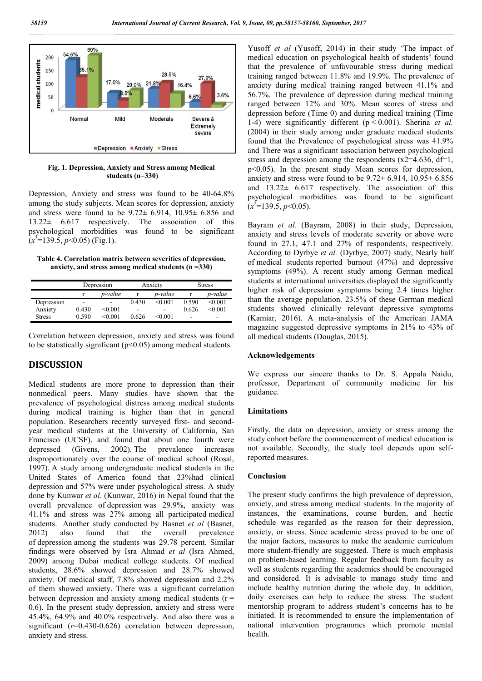

**Fig. 1. Depression, Anxiety and Stress among Medical students (n=330)**

Depression, Anxiety and stress was found to be 40-64.8% among the study subjects. Mean scores for depression, anxiety and stress were found to be  $9.72 \pm 6.914$ ,  $10.95 \pm 6.856$  and 13.22± 6.617 respectively. The association of this psychological morbidities was found to be significant  $(x^2=139.5, p<0.05)$  (Fig.1).

**Table 4. Correlation matrix between severities of depression, anxiety, and stress among medical students (n =330)**

|            | Depression                   |                | Anxiety |         | <b>Stress</b> |                          |
|------------|------------------------------|----------------|---------|---------|---------------|--------------------------|
|            |                              | p-value        |         | p-value |               | p-value                  |
| Depression | $\qquad \qquad \blacksquare$ | $\blacksquare$ | 0.430   | < 0.001 | 0.590         | < 0.001                  |
| Anxiety    | 0.430                        | < 0.001        | ۰       | ۰       | 0.626         | < 0.001                  |
| Stress     | 0.590                        | < 0.001        | 0.626   | <0 001  | -             | $\overline{\phantom{a}}$ |

Correlation between depression, anxiety and stress was found to be statistically significant ( $p<0.05$ ) among medical students.

## **DISCUSSION**

Medical students are more prone to depression than their nonmedical peers. Many studies have shown that the prevalence of psychological distress among medical students during medical training is higher than that in general population. Researchers recently surveyed first- and secondyear medical students at the University of California, San Francisco (UCSF), and found that about one fourth were depressed (Givens, 2002). The prevalence increases disproportionately over the course of medical school (Rosal, 1997). A study among undergraduate medical students in the United States of America found that 23%had clinical depression and 57% were under psychological stress. A study done by Kunwar *et al.* (Kunwar, 2016) in Nepal found that the overall prevalence of depression was 29.9%, anxiety was 41.1% and stress was 27% among all participated medical students. Another study conducted by Basnet *et al* (Basnet, 2012) also found that the overall prevalence of depression among the students was 29.78 percent. Similar findings were observed by Isra Ahmad *et al* (Isra Ahmed, 2009) among Dubai medical college students. Of medical students, 28.6% showed depression and 28.7% showed anxiety. Of medical staff, 7.8% showed depression and 2.2% of them showed anxiety. There was a significant correlation between depression and anxiety among medical students  $(r =$ 0.6). In the present study depression, anxiety and stress were 45.4%, 64.9% and 40.0% respectively. And also there was a significant ( $r=0.430-0.626$ ) correlation between depression, anxiety and stress.

Yusoff *et al* (Yusoff, 2014) in their study 'The impact of medical education on psychological health of students' found that the prevalence of unfavourable stress during medical training ranged between 11.8% and 19.9%. The prevalence of anxiety during medical training ranged between 41.1% and 56.7%. The prevalence of depression during medical training ranged between 12% and 30%. Mean scores of stress and depression before (Time 0) and during medical training (Time 1-4) were significantly different (p < 0.001). Sherina *et al.* (2004) in their study among under graduate medical students found that the Prevalence of psychological stress was 41.9% and There was a significant association between psychological stress and depression among the respondents  $(x2=4.636, df=1,$ p<0.05). In the present study Mean scores for depression, anxiety and stress were found to be  $9.72 \pm 6.914$ ,  $10.95 \pm 6.856$ and 13.22± 6.617 respectively. The association of this psychological morbidities was found to be significant  $(x^2=139.5, p<0.05)$ .

Bayram *et al.* (Bayram, 2008) in their study, Depression, anxiety and stress levels of moderate severity or above were found in 27.1, 47.1 and 27% of respondents, respectively. According to Dyrbye *et al.* (Dyrbye, 2007) study, Nearly half of medical students reported burnout (47%) and depressive symptoms (49%). A recent study among German medical students at international universities displayed the significantly higher risk of depression symptoms being 2.4 times higher than the average population. 23.5% of these German medical students showed clinically relevant depressive symptoms (Kamiar, 2016). A meta-analysis of the American JAMA magazine suggested depressive symptoms in 21% to 43% of all medical students (Douglas, 2015).

#### **Acknowledgements**

We express our sincere thanks to Dr. S. Appala Naidu, professor, Department of community medicine for his guidance.

#### **Limitations**

Firstly, the data on depression, anxiety or stress among the study cohort before the commencement of medical education is not available. Secondly, the study tool depends upon selfreported measures.

### **Conclusion**

The present study confirms the high prevalence of depression, anxiety, and stress among medical students. In the majority of instances, the examinations, course burden, and hectic schedule was regarded as the reason for their depression, anxiety, or stress. Since academic stress proved to be one of the major factors, measures to make the academic curriculum more student-friendly are suggested. There is much emphasis on problem-based learning. Regular feedback from faculty as well as students regarding the academics should be encouraged and considered. It is advisable to manage study time and include healthy nutrition during the whole day. In addition, daily exercises can help to reduce the stress. The student mentorship program to address student's concerns has to be initiated. It is recommended to ensure the implementation of national intervention programmes which promote mental health.